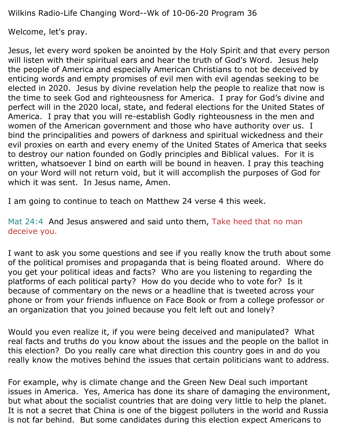Wilkins Radio-Life Changing Word--Wk of 10-06-20 Program 36

Welcome, let's pray.

Jesus, let every word spoken be anointed by the Holy Spirit and that every person will listen with their spiritual ears and hear the truth of God's Word. Jesus help the people of America and especially American Christians to not be deceived by enticing words and empty promises of evil men with evil agendas seeking to be elected in 2020. Jesus by divine revelation help the people to realize that now is the time to seek God and righteousness for America. I pray for God's divine and perfect will in the 2020 local, state, and federal elections for the United States of America. I pray that you will re-establish Godly righteousness in the men and women of the American government and those who have authority over us. I bind the principalities and powers of darkness and spiritual wickedness and their evil proxies on earth and every enemy of the United States of America that seeks to destroy our nation founded on Godly principles and Biblical values. For it is written, whatsoever I bind on earth will be bound in heaven. I pray this teaching on your Word will not return void, but it will accomplish the purposes of God for which it was sent. In Jesus name, Amen.

I am going to continue to teach on Matthew 24 verse 4 this week.

Mat 24:4 And Jesus answered and said unto them, Take heed that no man deceive you.

I want to ask you some questions and see if you really know the truth about some of the political promises and propaganda that is being floated around. Where do you get your political ideas and facts? Who are you listening to regarding the platforms of each political party? How do you decide who to vote for? Is it because of commentary on the news or a headline that is tweeted across your phone or from your friends influence on Face Book or from a college professor or an organization that you joined because you felt left out and lonely?

Would you even realize it, if you were being deceived and manipulated? What real facts and truths do you know about the issues and the people on the ballot in this election? Do you really care what direction this country goes in and do you really know the motives behind the issues that certain politicians want to address.

For example, why is climate change and the Green New Deal such important issues in America. Yes, America has done its share of damaging the environment, but what about the socialist countries that are doing very little to help the planet. It is not a secret that China is one of the biggest polluters in the world and Russia is not far behind. But some candidates during this election expect Americans to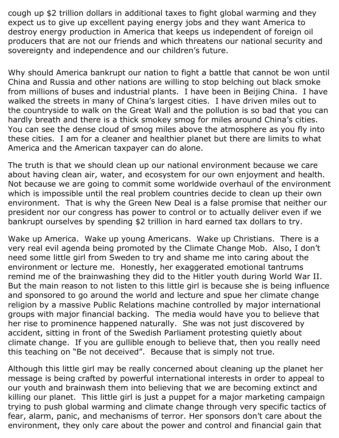cough up \$2 trillion dollars in additional taxes to fight global warming and they expect us to give up excellent paying energy jobs and they want America to destroy energy production in America that keeps us independent of foreign oil producers that are not our friends and which threatens our national security and sovereignty and independence and our children's future.

Why should America bankrupt our nation to fight a battle that cannot be won until China and Russia and other nations are willing to stop belching out black smoke from millions of buses and industrial plants. I have been in Beijing China. I have walked the streets in many of China's largest cities. I have driven miles out to the countryside to walk on the Great Wall and the pollution is so bad that you can hardly breath and there is a thick smokey smog for miles around China's cities. You can see the dense cloud of smog miles above the atmosphere as you fly into these cities. I am for a cleaner and healthier planet but there are limits to what America and the American taxpayer can do alone.

The truth is that we should clean up our national environment because we care about having clean air, water, and ecosystem for our own enjoyment and health. Not because we are going to commit some worldwide overhaul of the environment which is impossible until the real problem countries decide to clean up their own environment. That is why the Green New Deal is a false promise that neither our president nor our congress has power to control or to actually deliver even if we bankrupt ourselves by spending \$2 trillion in hard earned tax dollars to try.

Wake up America. Wake up young Americans. Wake up Christians. There is a very real evil agenda being promoted by the Climate Change Mob. Also, I don't need some little girl from Sweden to try and shame me into caring about the environment or lecture me. Honestly, her exaggerated emotional tantrums remind me of the brainwashing they did to the Hitler youth during World War II. But the main reason to not listen to this little girl is because she is being influence and sponsored to go around the world and lecture and spue her climate change religion by a massive Public Relations machine controlled by major international groups with major financial backing. The media would have you to believe that her rise to prominence happened naturally. She was not just discovered by accident, sitting in front of the Swedish Parliament protesting quietly about climate change. If you are gullible enough to believe that, then you really need this teaching on "Be not deceived". Because that is simply not true.

Although this little girl may be really concerned about cleaning up the planet her message is being crafted by powerful international interests in order to appeal to our youth and brainwash them into believing that we are becoming extinct and killing our planet. This little girl is just a puppet for a major marketing campaign trying to push global warming and climate change through very specific tactics of fear, alarm, panic, and mechanisms of terror. Her sponsors don't care about the environment, they only care about the power and control and financial gain that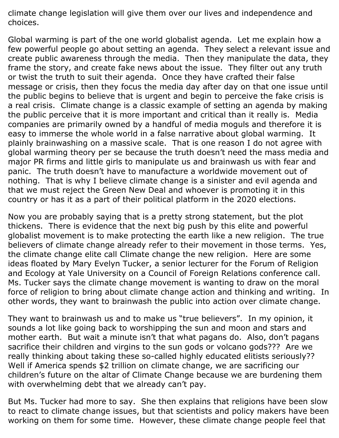climate change legislation will give them over our lives and independence and choices.

Global warming is part of the one world globalist agenda. Let me explain how a few powerful people go about setting an agenda. They select a relevant issue and create public awareness through the media. Then they manipulate the data, they frame the story, and create fake news about the issue. They filter out any truth or twist the truth to suit their agenda. Once they have crafted their false message or crisis, then they focus the media day after day on that one issue until the public begins to believe that is urgent and begin to perceive the fake crisis is a real crisis. Climate change is a classic example of setting an agenda by making the public perceive that it is more important and critical than it really is. Media companies are primarily owned by a handful of media moguls and therefore it is easy to immerse the whole world in a false narrative about global warming. It plainly brainwashing on a massive scale. That is one reason I do not agree with global warming theory per se because the truth doesn't need the mass media and major PR firms and little girls to manipulate us and brainwash us with fear and panic. The truth doesn't have to manufacture a worldwide movement out of nothing. That is why I believe climate change is a sinister and evil agenda and that we must reject the Green New Deal and whoever is promoting it in this country or has it as a part of their political platform in the 2020 elections.

Now you are probably saying that is a pretty strong statement, but the plot thickens. There is evidence that the next big push by this elite and powerful globalist movement is to make protecting the earth like a new religion. The true believers of climate change already refer to their movement in those terms. Yes, the climate change elite call Climate change the new religion. Here are some ideas floated by Mary Evelyn Tucker, a senior lecturer for the Forum of Religion and Ecology at Yale University on a Council of Foreign Relations conference call. Ms. Tucker says the climate change movement is wanting to draw on the moral force of religion to bring about climate change action and thinking and writing. In other words, they want to brainwash the public into action over climate change.

They want to brainwash us and to make us "true believers". In my opinion, it sounds a lot like going back to worshipping the sun and moon and stars and mother earth. But wait a minute isn't that what pagans do. Also, don't pagans sacrifice their children and virgins to the sun gods or volcano gods??? Are we really thinking about taking these so-called highly educated elitists seriously?? Well if America spends \$2 trillion on climate change, we are sacrificing our children's future on the altar of Climate Change because we are burdening them with overwhelming debt that we already can't pay.

But Ms. Tucker had more to say. She then explains that religions have been slow to react to climate change issues, but that scientists and policy makers have been working on them for some time. However, these climate change people feel that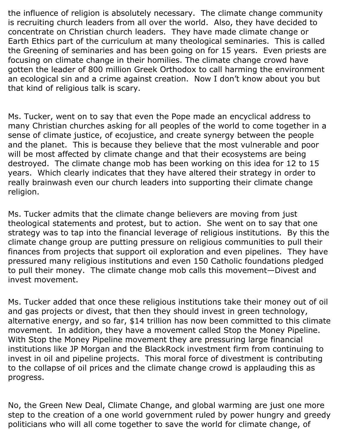the influence of religion is absolutely necessary. The climate change community is recruiting church leaders from all over the world. Also, they have decided to concentrate on Christian church leaders. They have made climate change or Earth Ethics part of the curriculum at many theological seminaries. This is called the Greening of seminaries and has been going on for 15 years. Even priests are focusing on climate change in their homilies. The climate change crowd have gotten the leader of 800 million Greek Orthodox to call harming the environment an ecological sin and a crime against creation. Now I don't know about you but that kind of religious talk is scary.

Ms. Tucker, went on to say that even the Pope made an encyclical address to many Christian churches asking for all peoples of the world to come together in a sense of climate justice, of ecojustice, and create synergy between the people and the planet. This is because they believe that the most vulnerable and poor will be most affected by climate change and that their ecosystems are being destroyed. The climate change mob has been working on this idea for 12 to 15 years. Which clearly indicates that they have altered their strategy in order to really brainwash even our church leaders into supporting their climate change religion.

Ms. Tucker admits that the climate change believers are moving from just theological statements and protest, but to action. She went on to say that one strategy was to tap into the financial leverage of religious institutions. By this the climate change group are putting pressure on religious communities to pull their finances from projects that support oil exploration and even pipelines. They have pressured many religious institutions and even 150 Catholic foundations pledged to pull their money. The climate change mob calls this movement—Divest and invest movement.

Ms. Tucker added that once these religious institutions take their money out of oil and gas projects or divest, that then they should invest in green technology, alternative energy, and so far, \$14 trillion has now been committed to this climate movement. In addition, they have a movement called Stop the Money Pipeline. With Stop the Money Pipeline movement they are pressuring large financial institutions like JP Morgan and the BlackRock investment firm from continuing to invest in oil and pipeline projects. This moral force of divestment is contributing to the collapse of oil prices and the climate change crowd is applauding this as progress.

No, the Green New Deal, Climate Change, and global warming are just one more step to the creation of a one world government ruled by power hungry and greedy politicians who will all come together to save the world for climate change, of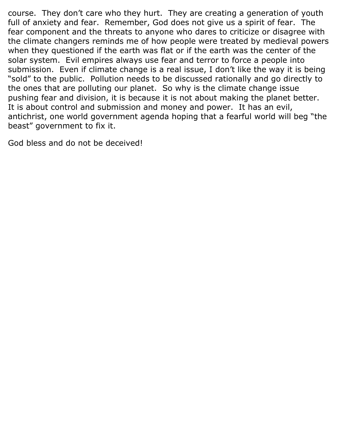course. They don't care who they hurt. They are creating a generation of youth full of anxiety and fear. Remember, God does not give us a spirit of fear. The fear component and the threats to anyone who dares to criticize or disagree with the climate changers reminds me of how people were treated by medieval powers when they questioned if the earth was flat or if the earth was the center of the solar system. Evil empires always use fear and terror to force a people into submission. Even if climate change is a real issue, I don't like the way it is being "sold" to the public. Pollution needs to be discussed rationally and go directly to the ones that are polluting our planet. So why is the climate change issue pushing fear and division, it is because it is not about making the planet better. It is about control and submission and money and power. It has an evil, antichrist, one world government agenda hoping that a fearful world will beg "the beast" government to fix it.

God bless and do not be deceived!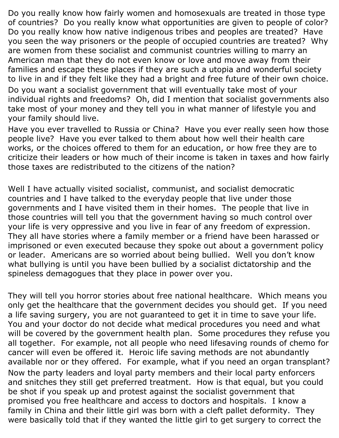Do you really know how fairly women and homosexuals are treated in those type of countries? Do you really know what opportunities are given to people of color? Do you really know how native indigenous tribes and peoples are treated? Have you seen the way prisoners or the people of occupied countries are treated? Why are women from these socialist and communist countries willing to marry an American man that they do not even know or love and move away from their families and escape these places if they are such a utopia and wonderful society to live in and if they felt like they had a bright and free future of their own choice.

Do you want a socialist government that will eventually take most of your individual rights and freedoms? Oh, did I mention that socialist governments also take most of your money and they tell you in what manner of lifestyle you and your family should live.

Have you ever travelled to Russia or China? Have you ever really seen how those people live? Have you ever talked to them about how well their health care works, or the choices offered to them for an education, or how free they are to criticize their leaders or how much of their income is taken in taxes and how fairly those taxes are redistributed to the citizens of the nation?

Well I have actually visited socialist, communist, and socialist democratic countries and I have talked to the everyday people that live under those governments and I have visited them in their homes. The people that live in those countries will tell you that the government having so much control over your life is very oppressive and you live in fear of any freedom of expression. They all have stories where a family member or a friend have been harassed or imprisoned or even executed because they spoke out about a government policy or leader. Americans are so worried about being bullied. Well you don't know what bullying is until you have been bullied by a socialist dictatorship and the spineless demagogues that they place in power over you.

They will tell you horror stories about free national healthcare. Which means you only get the healthcare that the government decides you should get. If you need a life saving surgery, you are not guaranteed to get it in time to save your life. You and your doctor do not decide what medical procedures you need and what will be covered by the government health plan. Some procedures they refuse you all together. For example, not all people who need lifesaving rounds of chemo for cancer will even be offered it. Heroic life saving methods are not abundantly available nor or they offered. For example, what if you need an organ transplant? Now the party leaders and loyal party members and their local party enforcers and snitches they still get preferred treatment. How is that equal, but you could be shot if you speak up and protest against the socialist government that promised you free healthcare and access to doctors and hospitals. I know a family in China and their little girl was born with a cleft pallet deformity. They were basically told that if they wanted the little girl to get surgery to correct the